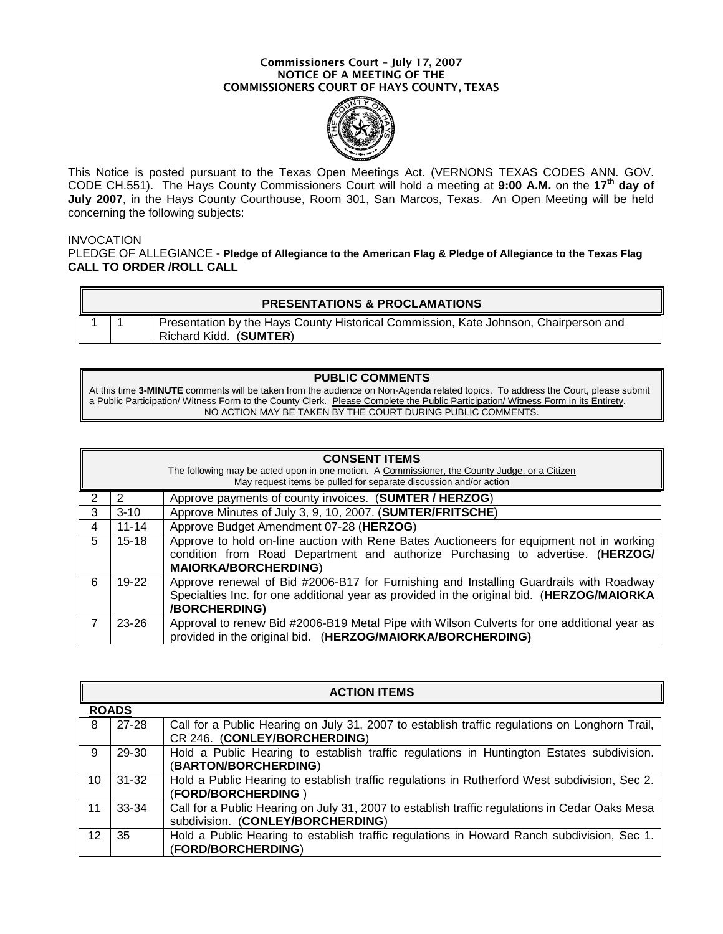#### **Commissioners Court – July 17, 2007 NOTICE OF A MEETING OF THE COMMISSIONERS COURT OF HAYS COUNTY, TEXAS**



This Notice is posted pursuant to the Texas Open Meetings Act. (VERNONS TEXAS CODES ANN. GOV. CODE CH.551). The Hays County Commissioners Court will hold a meeting at **9:00 A.M.** on the **17th day of July 2007**, in the Hays County Courthouse, Room 301, San Marcos, Texas. An Open Meeting will be held concerning the following subjects:

#### INVOCATION

PLEDGE OF ALLEGIANCE - **Pledge of Allegiance to the American Flag & Pledge of Allegiance to the Texas Flag CALL TO ORDER /ROLL CALL**

|  | <b>PRESENTATIONS &amp; PROCLAMATIONS</b>                                                                       |
|--|----------------------------------------------------------------------------------------------------------------|
|  | Presentation by the Hays County Historical Commission, Kate Johnson, Chairperson and<br>Richard Kidd. (SUMTER) |

#### **PUBLIC COMMENTS**

At this time **3-MINUTE** comments will be taken from the audience on Non-Agenda related topics. To address the Court, please submit a Public Participation/ Witness Form to the County Clerk. Please Complete the Public Participation/ Witness Form in its Entirety. NO ACTION MAY BE TAKEN BY THE COURT DURING PUBLIC COMMENTS.

| <b>CONSENT ITEMS</b><br>The following may be acted upon in one motion. A Commissioner, the County Judge, or a Citizen<br>May request items be pulled for separate discussion and/or action |           |                                                                                                                                                                                                             |
|--------------------------------------------------------------------------------------------------------------------------------------------------------------------------------------------|-----------|-------------------------------------------------------------------------------------------------------------------------------------------------------------------------------------------------------------|
| 2                                                                                                                                                                                          |           | Approve payments of county invoices. (SUMTER / HERZOG)                                                                                                                                                      |
| 3                                                                                                                                                                                          | $3 - 10$  | Approve Minutes of July 3, 9, 10, 2007. (SUMTER/FRITSCHE)                                                                                                                                                   |
| 4                                                                                                                                                                                          | $11 - 14$ | Approve Budget Amendment 07-28 (HERZOG)                                                                                                                                                                     |
| 5                                                                                                                                                                                          | $15 - 18$ | Approve to hold on-line auction with Rene Bates Auctioneers for equipment not in working<br>condition from Road Department and authorize Purchasing to advertise. (HERZOG/<br><b>MAIORKA/BORCHERDING)</b>   |
| 6                                                                                                                                                                                          | $19-22$   | Approve renewal of Bid #2006-B17 for Furnishing and Installing Guardrails with Roadway<br>Specialties Inc. for one additional year as provided in the original bid. (HERZOG/MAIORKA<br><b>/BORCHERDING)</b> |
|                                                                                                                                                                                            | 23-26     | Approval to renew Bid #2006-B19 Metal Pipe with Wilson Culverts for one additional year as<br>provided in the original bid. (HERZOG/MAIORKA/BORCHERDING)                                                    |

| <b>ACTION ITEMS</b> |           |                                                                                                                                     |  |
|---------------------|-----------|-------------------------------------------------------------------------------------------------------------------------------------|--|
| <b>ROADS</b>        |           |                                                                                                                                     |  |
| 8                   | $27 - 28$ | Call for a Public Hearing on July 31, 2007 to establish traffic regulations on Longhorn Trail,<br>CR 246. (CONLEY/BORCHERDING)      |  |
| 9                   | 29-30     | Hold a Public Hearing to establish traffic regulations in Huntington Estates subdivision.<br>(BARTON/BORCHERDING)                   |  |
| 10                  | $31 - 32$ | Hold a Public Hearing to establish traffic regulations in Rutherford West subdivision, Sec 2.<br>(FORD/BORCHERDING)                 |  |
| 11                  | $33 - 34$ | Call for a Public Hearing on July 31, 2007 to establish traffic regulations in Cedar Oaks Mesa<br>subdivision. (CONLEY/BORCHERDING) |  |
| 12                  | 35        | Hold a Public Hearing to establish traffic regulations in Howard Ranch subdivision, Sec 1.<br>(FORD/BORCHERDING)                    |  |